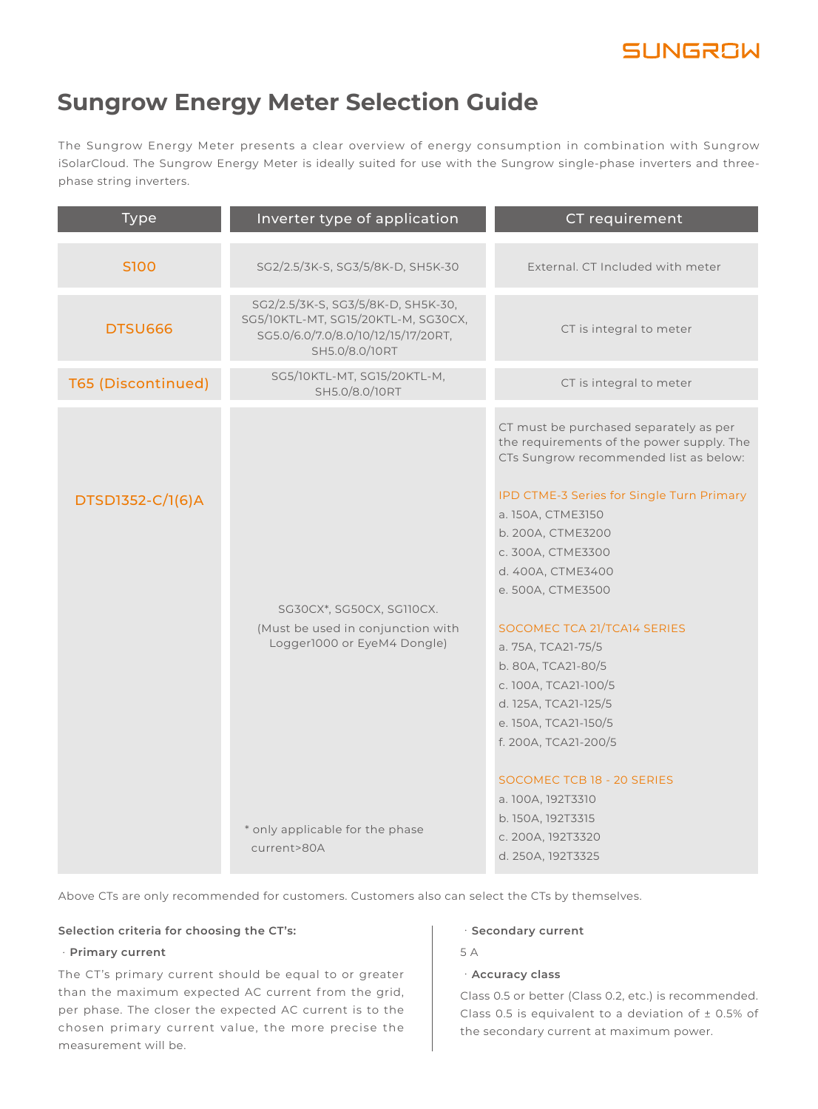

### **Sungrow Energy Meter Selection Guide**

The Sungrow Energy Meter presents a clear overview of energy consumption in combination with Sungrow iSolarCloud. The Sungrow Energy Meter is ideally suited for use with the Sungrow single-phase inverters and threephase string inverters.

| <b>Type</b>               | Inverter type of application                                                                                                       | CT requirement                                                                                                                                                                                                                            |
|---------------------------|------------------------------------------------------------------------------------------------------------------------------------|-------------------------------------------------------------------------------------------------------------------------------------------------------------------------------------------------------------------------------------------|
| S100                      | SG2/2.5/3K-S, SG3/5/8K-D, SH5K-30                                                                                                  | External. CT Included with meter                                                                                                                                                                                                          |
| <b>DTSU666</b>            | SG2/2.5/3K-S, SG3/5/8K-D, SH5K-30,<br>SG5/10KTL-MT, SG15/20KTL-M, SG30CX,<br>SG5.0/6.0/7.0/8.0/10/12/15/17/20RT,<br>SH5.0/8.0/10RT | CT is integral to meter                                                                                                                                                                                                                   |
| <b>T65 (Discontinued)</b> | SG5/10KTL-MT, SG15/20KTL-M,<br>SH5.0/8.0/10RT                                                                                      | CT is integral to meter                                                                                                                                                                                                                   |
| DTSD1352-C/1(6)A          |                                                                                                                                    | CT must be purchased separately as per<br>the requirements of the power supply. The<br>CTs Sungrow recommended list as below:<br>IPD CTME-3 Series for Single Turn Primary<br>a. 150A, CTME3150<br>b. 200A, CTME3200<br>c. 300A, CTME3300 |
|                           | SG30CX*, SG50CX, SG110CX.<br>(Must be used in conjunction with<br>Logger1000 or EyeM4 Dongle)                                      | d. 400A, CTME3400<br>e. 500A, CTME3500<br>SOCOMEC TCA 21/TCA14 SERIES<br>a. 75A, TCA21-75/5<br>b. 80A, TCA21-80/5<br>c. 100A, TCA21-100/5<br>d. 125A, TCA21-125/5<br>e. 150A, TCA21-150/5<br>f. 200A, TCA21-200/5                         |
|                           | * only applicable for the phase<br>current>80A                                                                                     | SOCOMEC TCB 18 - 20 SERIES<br>a. 100A, 192T3310<br>b. 150A, 192T3315<br>c. 200A, 192T3320<br>d. 250A, 192T3325                                                                                                                            |

Above CTs are only recommended for customers. Customers also can select the CTs by themselves.

### **Selection criteria for choosing the CT's:**

### ·**Primary current**

The CT's primary current should be equal to or greater than the maximum expected AC current from the grid, per phase. The closer the expected AC current is to the chosen primary current value, the more precise the measurement will be.

### ·**Secondary current**

5 A

### ·**Accuracy class**

Class 0.5 or better (Class 0.2, etc.) is recommended. Class 0.5 is equivalent to a deviation of ± 0.5% of the secondary current at maximum power.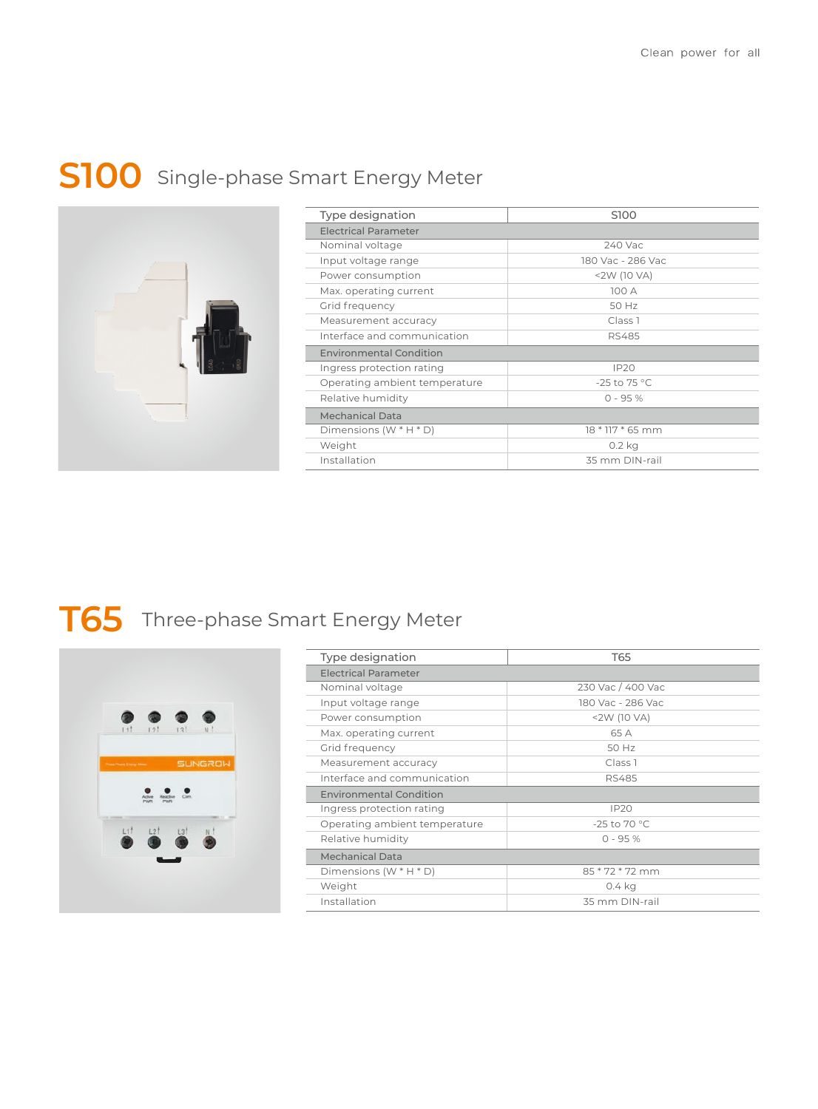## **S100** Single-phase Smart Energy Meter



| Type designation               | S100                   |  |
|--------------------------------|------------------------|--|
| <b>Electrical Parameter</b>    |                        |  |
| Nominal voltage                | 240 Vac                |  |
| Input voltage range            | 180 Vac - 286 Vac      |  |
| Power consumption              | $<$ 2W (10 VA)         |  |
| Max. operating current         | 100 A                  |  |
| Grid frequency                 | 50 Hz                  |  |
| Measurement accuracy           | Class <sub>1</sub>     |  |
| Interface and communication    | RS485                  |  |
| <b>Environmental Condition</b> |                        |  |
| Ingress protection rating      | IP20                   |  |
| Operating ambient temperature  | -25 to 75 $^{\circ}$ C |  |
| Relative humidity              | $0 - 95%$              |  |
| <b>Mechanical Data</b>         |                        |  |
| Dimensions $(W^*H^*D)$         | 18 * 117 * 65 mm       |  |
| Weight                         | 0.2 kg                 |  |
| Installation                   | 35 mm DIN-rail         |  |

## **T65** Three-phase Smart Energy Meter



| Type designation               | T65                    |  |
|--------------------------------|------------------------|--|
| <b>Electrical Parameter</b>    |                        |  |
| Nominal voltage                | 230 Vac / 400 Vac      |  |
| Input voltage range            | 180 Vac - 286 Vac      |  |
| Power consumption              | <2W (10 VA)            |  |
| Max. operating current         | 65 A                   |  |
| Grid frequency                 | 50 Hz                  |  |
| Measurement accuracy           | Class <sub>1</sub>     |  |
| Interface and communication    | <b>RS485</b>           |  |
| <b>Environmental Condition</b> |                        |  |
| Ingress protection rating      | <b>IP20</b>            |  |
| Operating ambient temperature  | -25 to 70 $^{\circ}$ C |  |
| Relative humidity              | $0 - 95%$              |  |
| <b>Mechanical Data</b>         |                        |  |
| Dimensions $(W^*H^*D)$         | 85 * 72 * 72 mm        |  |
| Weight                         | 0.4 kg                 |  |
| Installation                   | 35 mm DIN-rail         |  |